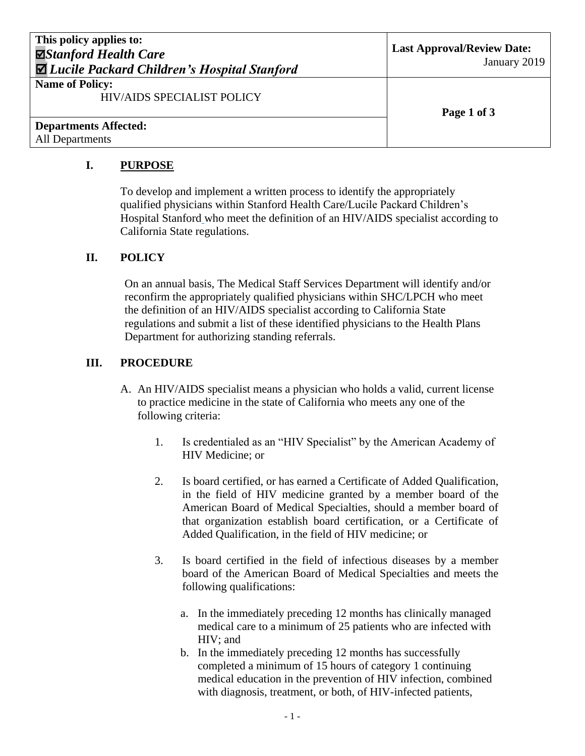| This policy applies to:<br><b>⊠Stanford Health Care</b><br><b>⊠</b> Lucile Packard Children's Hospital Stanford | <b>Last Approval/Review Date:</b><br>January 2019 |
|-----------------------------------------------------------------------------------------------------------------|---------------------------------------------------|
| <b>Name of Policy:</b><br><b>HIV/AIDS SPECIALIST POLICY</b>                                                     | Page 1 of 3                                       |
| <b>Departments Affected:</b><br><b>All Departments</b>                                                          |                                                   |

## **I. PURPOSE**

To develop and implement a written process to identify the appropriately qualified physicians within Stanford Health Care/Lucile Packard Children's Hospital Stanford who meet the definition of an HIV/AIDS specialist according to California State regulations.

### **II. POLICY**

On an annual basis, The Medical Staff Services Department will identify and/or reconfirm the appropriately qualified physicians within SHC/LPCH who meet the definition of an HIV/AIDS specialist according to California State regulations and submit a list of these identified physicians to the Health Plans Department for authorizing standing referrals.

### **III. PROCEDURE**

- A. An HIV/AIDS specialist means a physician who holds a valid, current license to practice medicine in the state of California who meets any one of the following criteria:
	- 1. Is credentialed as an "HIV Specialist" by the American Academy of HIV Medicine; or
	- 2. Is board certified, or has earned a Certificate of Added Qualification, in the field of HIV medicine granted by a member board of the American Board of Medical Specialties, should a member board of that organization establish board certification, or a Certificate of Added Qualification, in the field of HIV medicine; or
	- 3. Is board certified in the field of infectious diseases by a member board of the American Board of Medical Specialties and meets the following qualifications:
		- a. In the immediately preceding 12 months has clinically managed medical care to a minimum of 25 patients who are infected with HIV; and
		- b. In the immediately preceding 12 months has successfully completed a minimum of 15 hours of category 1 continuing medical education in the prevention of HIV infection, combined with diagnosis, treatment, or both, of HIV-infected patients,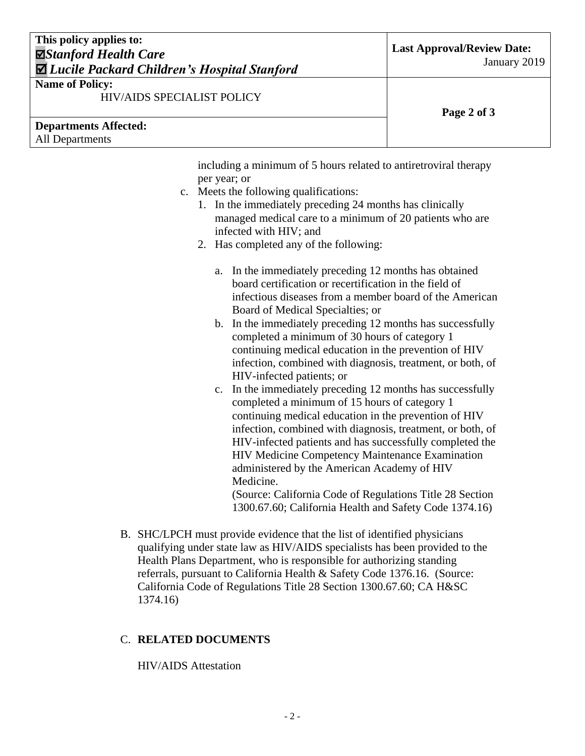# **This policy applies to:** *Stanford Health Care Lucile Packard Children's Hospital Stanford*

#### **Name of Policy:**

HIV/AIDS SPECIALIST POLICY

| <b>Departments Affected:</b> |
|------------------------------|
| All Departments              |

**Page 2 of 3**

including a minimum of 5 hours related to antiretroviral therapy per year; or

- c. Meets the following qualifications:
	- 1. In the immediately preceding 24 months has clinically managed medical care to a minimum of 20 patients who are infected with HIV; and
	- 2. Has completed any of the following:
		- a. In the immediately preceding 12 months has obtained board certification or recertification in the field of infectious diseases from a member board of the American Board of Medical Specialties; or
		- b. In the immediately preceding 12 months has successfully completed a minimum of 30 hours of category 1 continuing medical education in the prevention of HIV infection, combined with diagnosis, treatment, or both, of HIV-infected patients; or
		- c. In the immediately preceding 12 months has successfully completed a minimum of 15 hours of category 1 continuing medical education in the prevention of HIV infection, combined with diagnosis, treatment, or both, of HIV-infected patients and has successfully completed the HIV Medicine Competency Maintenance Examination administered by the American Academy of HIV Medicine.

(Source: California Code of Regulations Title 28 Section 1300.67.60; California Health and Safety Code 1374.16)

B. SHC/LPCH must provide evidence that the list of identified physicians qualifying under state law as HIV/AIDS specialists has been provided to the Health Plans Department, who is responsible for authorizing standing referrals, pursuant to California Health & Safety Code 1376.16. (Source: California Code of Regulations Title 28 Section 1300.67.60; CA H&SC 1374.16)

# C. **RELATED DOCUMENTS**

HIV/AIDS Attestation